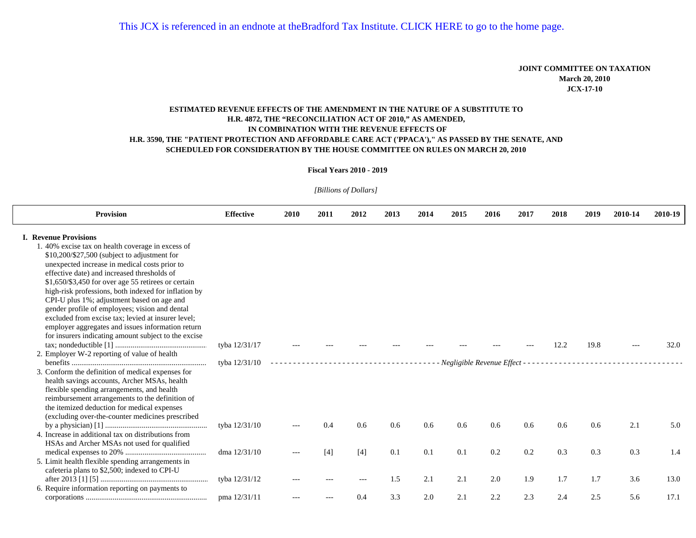## **JOINT COMMITTEE ON TAXATION March 20, 2010 JCX-17-10**

## **ESTIMATED REVENUE EFFECTS OF THE AMENDMENT IN THE NATURE OF A SUBSTITUTE TO H.R. 4872, THE "RECONCILIATION ACT OF 2010," AS AMENDED, H.R. 3590, THE "PATIENT PROTECTION AND AFFORDABLE CARE ACT ('PPACA')," AS PASSED BY THE SENATE, AND IN COMBINATION WITH THE REVENUE EFFECTS OF SCHEDULED FOR CONSIDERATION BY THE HOUSE COMMITTEE ON RULES ON MARCH 20, 2010**

## **Fiscal Years 2010 - 2019**

*[Billions of Dollars]* 

| <b>Provision</b>                                                                             | <b>Effective</b> | 2010  | 2011  | 2012  | 2013 | 2014 | 2015 | 2016                        | 2017 | 2018 | 2019          | 2010-14 | 2010-19 |
|----------------------------------------------------------------------------------------------|------------------|-------|-------|-------|------|------|------|-----------------------------|------|------|---------------|---------|---------|
| <b>I. Revenue Provisions</b>                                                                 |                  |       |       |       |      |      |      |                             |      |      |               |         |         |
| 1.40% excise tax on health coverage in excess of                                             |                  |       |       |       |      |      |      |                             |      |      |               |         |         |
| \$10,200/\$27,500 (subject to adjustment for                                                 |                  |       |       |       |      |      |      |                             |      |      |               |         |         |
| unexpected increase in medical costs prior to<br>effective date) and increased thresholds of |                  |       |       |       |      |      |      |                             |      |      |               |         |         |
| $$1,650/\$3,450$ for over age 55 retirees or certain                                         |                  |       |       |       |      |      |      |                             |      |      |               |         |         |
| high-risk professions, both indexed for inflation by                                         |                  |       |       |       |      |      |      |                             |      |      |               |         |         |
| CPI-U plus 1%; adjustment based on age and                                                   |                  |       |       |       |      |      |      |                             |      |      |               |         |         |
| gender profile of employees; vision and dental                                               |                  |       |       |       |      |      |      |                             |      |      |               |         |         |
| excluded from excise tax; levied at insurer level;                                           |                  |       |       |       |      |      |      |                             |      |      |               |         |         |
| employer aggregates and issues information return                                            |                  |       |       |       |      |      |      |                             |      |      |               |         |         |
| for insurers indicating amount subject to the excise                                         |                  |       |       |       |      |      |      |                             |      |      |               |         |         |
|                                                                                              | tyba 12/31/17    |       |       |       |      |      |      |                             |      | 12.2 | 19.8          |         | 32.0    |
| 2. Employer W-2 reporting of value of health                                                 | tyba 12/31/10    |       |       |       |      |      |      | Negligible Revenue Effect - |      |      |               |         |         |
| 3. Conform the definition of medical expenses for                                            |                  |       |       |       |      |      |      |                             |      |      |               |         |         |
| health savings accounts, Archer MSAs, health                                                 |                  |       |       |       |      |      |      |                             |      |      |               |         |         |
| flexible spending arrangements, and health                                                   |                  |       |       |       |      |      |      |                             |      |      |               |         |         |
| reimbursement arrangements to the definition of                                              |                  |       |       |       |      |      |      |                             |      |      |               |         |         |
| the itemized deduction for medical expenses                                                  |                  |       |       |       |      |      |      |                             |      |      |               |         |         |
| (excluding over-the-counter medicines prescribed                                             |                  |       |       |       |      |      |      |                             |      |      |               |         |         |
|                                                                                              | tyba 12/31/10    |       | 0.4   | 0.6   | 0.6  | 0.6  | 0.6  | 0.6                         | 0.6  | 0.6  | $0.6^{\circ}$ | 2.1     | 5.0     |
| 4. Increase in additional tax on distributions from                                          |                  |       |       |       |      |      |      |                             |      |      |               |         |         |
| HSAs and Archer MSAs not used for qualified                                                  | dma $12/31/10$   |       | $[4]$ | $[4]$ | 0.1  | 0.1  | 0.1  | 0.2                         | 0.2  | 0.3  | 0.3           | 0.3     | 1.4     |
| 5. Limit health flexible spending arrangements in                                            |                  | $---$ |       |       |      |      |      |                             |      |      |               |         |         |
| cafeteria plans to \$2,500; indexed to CPI-U                                                 |                  |       |       |       |      |      |      |                             |      |      |               |         |         |
|                                                                                              | tyba 12/31/12    |       |       |       | 1.5  | 2.1  | 2.1  | 2.0                         | 1.9  | 1.7  | 1.7           | 3.6     | 13.0    |
| 6. Require information reporting on payments to                                              |                  |       |       |       |      |      |      |                             |      |      |               |         |         |
|                                                                                              | pma 12/31/11     |       |       | 0.4   | 3.3  | 2.0  | 2.1  | 2.2                         | 2.3  | 2.4  | 2.5           | 5.6     | 17.1    |
|                                                                                              |                  |       |       |       |      |      |      |                             |      |      |               |         |         |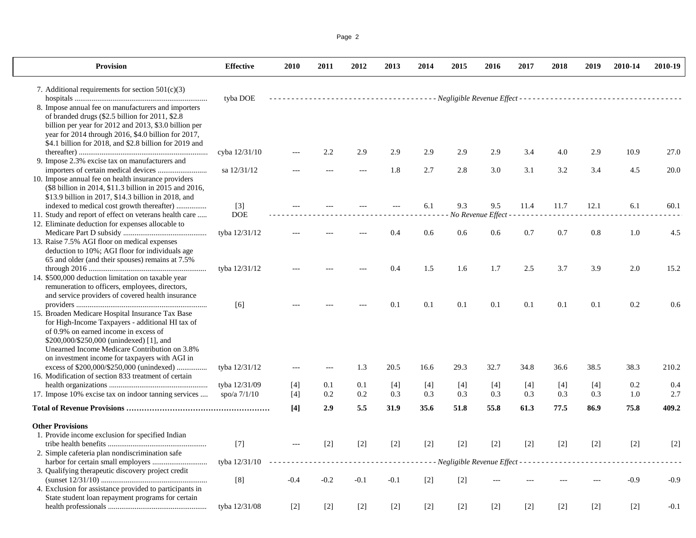|--|--|

| <b>Provision</b>                                                                                | <b>Effective</b> | 2010         | 2011   | 2012   | 2013         | 2014         | 2015       | 2016              | 2017         | 2018              | 2019         | 2010-14 | 2010-19 |
|-------------------------------------------------------------------------------------------------|------------------|--------------|--------|--------|--------------|--------------|------------|-------------------|--------------|-------------------|--------------|---------|---------|
| 7. Additional requirements for section $501(c)(3)$                                              |                  |              |        |        |              |              |            |                   |              |                   |              |         |         |
|                                                                                                 | tyba DOE         |              |        |        |              |              |            |                   |              |                   |              |         |         |
| 8. Impose annual fee on manufacturers and importers                                             |                  |              |        |        |              |              |            |                   |              |                   |              |         |         |
| of branded drugs (\$2.5 billion for 2011, \$2.8                                                 |                  |              |        |        |              |              |            |                   |              |                   |              |         |         |
| billion per year for 2012 and 2013, \$3.0 billion per                                           |                  |              |        |        |              |              |            |                   |              |                   |              |         |         |
| year for 2014 through 2016, \$4.0 billion for 2017,                                             |                  |              |        |        |              |              |            |                   |              |                   |              |         |         |
| \$4.1 billion for 2018, and \$2.8 billion for 2019 and                                          |                  |              |        |        |              |              |            |                   |              |                   |              |         |         |
|                                                                                                 | cyba 12/31/10    |              | 2.2    | 2.9    | 2.9          | 2.9          | 2.9        | 2.9               | 3.4          | 4.0               | 2.9          | 10.9    | 27.0    |
| 9. Impose 2.3% excise tax on manufacturers and                                                  |                  |              |        |        |              |              |            |                   |              |                   |              |         |         |
|                                                                                                 | sa 12/31/12      |              |        |        | 1.8          | 2.7          | 2.8        | 3.0               | 3.1          | 3.2               | 3.4          | 4.5     | 20.0    |
| 10. Impose annual fee on health insurance providers                                             |                  |              |        |        |              |              |            |                   |              |                   |              |         |         |
| (\$8 billion in 2014, \$11.3 billion in 2015 and 2016,                                          |                  |              |        |        |              |              |            |                   |              |                   |              |         |         |
| \$13.9 billion in 2017, \$14.3 billion in 2018, and                                             |                  |              |        |        |              |              |            |                   |              |                   |              |         |         |
|                                                                                                 | $[3]$            |              |        |        |              | 6.1          | 9.3        | 9.5               | 11.4         | 11.7              | 12.1         | 6.1     | 60.1    |
| 11. Study and report of effect on veterans health care                                          | <b>DOE</b>       |              |        |        |              |              |            | No Revenue Effect | المناسب      |                   |              |         |         |
| 12. Eliminate deduction for expenses allocable to                                               |                  |              |        |        |              |              |            |                   |              |                   |              |         |         |
|                                                                                                 | tyba 12/31/12    |              |        |        | 0.4          | 0.6          | 0.6        | 0.6               | 0.7          | 0.7               | 0.8          | 1.0     | 4.5     |
| 13. Raise 7.5% AGI floor on medical expenses                                                    |                  |              |        |        |              |              |            |                   |              |                   |              |         |         |
| deduction to 10%; AGI floor for individuals age                                                 |                  |              |        |        |              |              |            |                   |              |                   |              |         |         |
| 65 and older (and their spouses) remains at 7.5%                                                |                  |              |        |        |              |              |            |                   |              |                   |              |         |         |
|                                                                                                 | tyba 12/31/12    |              |        |        | 0.4          | 1.5          | 1.6        | 1.7               | 2.5          | 3.7               | 3.9          | 2.0     | 15.2    |
| 14. \$500,000 deduction limitation on taxable year                                              |                  |              |        |        |              |              |            |                   |              |                   |              |         |         |
| remuneration to officers, employees, directors,                                                 |                  |              |        |        |              |              |            |                   |              |                   |              |         |         |
| and service providers of covered health insurance                                               |                  |              |        |        |              |              |            |                   |              |                   |              |         |         |
|                                                                                                 | [6]              |              |        |        | 0.1          | 0.1          | 0.1        | 0.1               | 0.1          | 0.1               | 0.1          | 0.2     | 0.6     |
| 15. Broaden Medicare Hospital Insurance Tax Base                                                |                  |              |        |        |              |              |            |                   |              |                   |              |         |         |
| for High-Income Taxpayers - additional HI tax of                                                |                  |              |        |        |              |              |            |                   |              |                   |              |         |         |
| of 0.9% on earned income in excess of                                                           |                  |              |        |        |              |              |            |                   |              |                   |              |         |         |
| \$200,000/\$250,000 (unindexed) [1], and                                                        |                  |              |        |        |              |              |            |                   |              |                   |              |         |         |
| Unearned Income Medicare Contribution on 3.8%<br>on investment income for taxpayers with AGI in |                  |              |        |        |              |              |            |                   |              |                   |              |         |         |
| excess of \$200,000/\$250,000 (unindexed)                                                       |                  | $-$          |        | 1.3    | 20.5         | 16.6         | 29.3       | 32.7              | 34.8         | 36.6              | 38.5         | 38.3    | 210.2   |
| 16. Modification of section 833 treatment of certain                                            | tyba 12/31/12    |              |        |        |              |              |            |                   |              |                   |              |         |         |
|                                                                                                 | tyba 12/31/09    |              | 0.1    | 0.1    |              |              |            |                   |              |                   |              | 0.2     | 0.4     |
| 17. Impose 10% excise tax on indoor tanning services                                            | spo/a $7/1/10$   | $[4]$<br>[4] | 0.2    | 0.2    | $[4]$<br>0.3 | $[4]$<br>0.3 | [4]<br>0.3 | $[4]$<br>0.3      | $[4]$<br>0.3 | $[4]$<br>0.3      | $[4]$<br>0.3 | 1.0     | 2.7     |
|                                                                                                 |                  |              |        |        |              |              |            |                   |              |                   |              |         |         |
|                                                                                                 |                  | [4]          | 2.9    | 5.5    | 31.9         | 35.6         | 51.8       | 55.8              | 61.3         | 77.5              | 86.9         | 75.8    | 409.2   |
| <b>Other Provisions</b>                                                                         |                  |              |        |        |              |              |            |                   |              |                   |              |         |         |
| 1. Provide income exclusion for specified Indian                                                |                  |              |        |        |              |              |            |                   |              |                   |              |         |         |
|                                                                                                 | $[7]$            | $---$        | $[2]$  | $[2]$  | $[2]$        | $[2]$        | $[2]$      | $[2]$             | $[2]$        | $[2]$             | $[2]$        | $[2]$   | $[2]$   |
| 2. Simple cafeteria plan nondiscrimination safe                                                 |                  |              |        |        |              |              |            |                   |              |                   |              |         |         |
|                                                                                                 | tyba 12/31/10    |              |        |        |              |              |            |                   |              |                   |              |         |         |
| 3. Qualifying therapeutic discovery project credit                                              |                  |              |        |        |              |              |            |                   |              |                   |              |         |         |
|                                                                                                 | [8]              | $-0.4$       | $-0.2$ | $-0.1$ | $-0.1$       | $[2]$        | $[2]$      |                   |              |                   |              | $-0.9$  | $-0.9$  |
| 4. Exclusion for assistance provided to participants in                                         |                  |              |        |        |              |              |            |                   |              |                   |              |         |         |
| State student loan repayment programs for certain                                               |                  |              |        |        |              |              |            |                   |              |                   |              |         |         |
|                                                                                                 | tyba 12/31/08    | $[2]$        | $[2]$  | $[2]$  | $[2]$        | $[2]$        | $[2]$      | $[2]$             | $[2]$        | $\lceil 2 \rceil$ | $[2]$        | $[2]$   | $-0.1$  |
|                                                                                                 |                  |              |        |        |              |              |            |                   |              |                   |              |         |         |